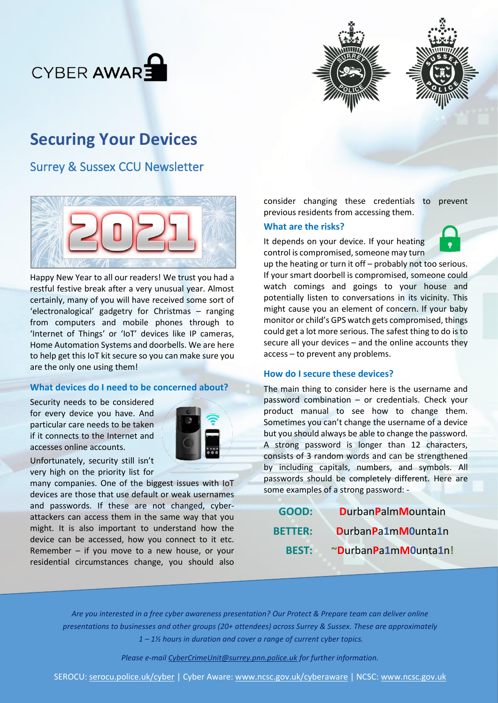





# **Securing Your Devices**

# Surrey & Sussex CCU Newsletter



Happy New Year to all our readers! We trust you had a restful festive break after a very unusual year. Almost certainly, many of you will have received some sort of 'electronalogical' gadgetry for Christmas – ranging from computers and mobile phones through to 'Internet of Things' or 'IoT' devices like IP cameras, Home Automation Systems and doorbells. We are here to help get this IoT kit secure so you can make sure you are the only one using them!

## **What devices do I need to be concerned about?**

Security needs to be considered for every device you have. And particular care needs to be taken if it connects to the Internet and accesses online accounts.



Unfortunately, security still isn't very high on the priority list for

many companies. One of the biggest issues with IoT devices are those that use default or weak usernames and passwords. If these are not changed, cyberattackers can access them in the same way that you might. It is also important to understand how the device can be accessed, how you connect to it etc. Remember – if you move to a new house, or your residential circumstances change, you should also

consider changing these credentials to prevent previous residents from accessing them.

#### **What are the risks?**

It depends on your device. If your heating control is compromised, someone may turn



up the heating or turn it off – probably not too serious. If your smart doorbell is compromised, someone could watch comings and goings to your house and potentially listen to conversations in its vicinity. This might cause you an element of concern. If your baby monitor or child's GPS watch gets compromised, things could get a lot more serious. The safest thing to do is to secure all your devices – and the online accounts they access – to prevent any problems.

#### **How do I secure these devices?**

The main thing to consider here is the username and password combination – or credentials. Check your product manual to see how to change them. Sometimes you can't change the username of a device but you should always be able to change the password. A strong password is longer than 12 characters, consists of 3 random words and can be strengthened by including capitals, numbers, and symbols. All passwords should be completely different. Here are some examples of a strong password: -

| GOOD:          | <b>DurbanPalmMountain</b> |
|----------------|---------------------------|
| <b>BETTER:</b> | DurbanPa1mM0unta1n        |
| <b>BEST:</b>   | ~DurbanPa1mM0unta1n!      |

*Are you interested in a free cyber awareness presentation? Our Protect & Prepare team can deliver online presentations to businesses and other groups (20+ attendees) across Surrey & Sussex. These are approximately 1 – 1½ hours in duration and cover a range of current cyber topics.*

*Please e-mail [CyberCrimeUnit@surrey.pnn.police.uk](mailto:CyberCrimeUnit@surrey.pnn.police.uk) for further information.*